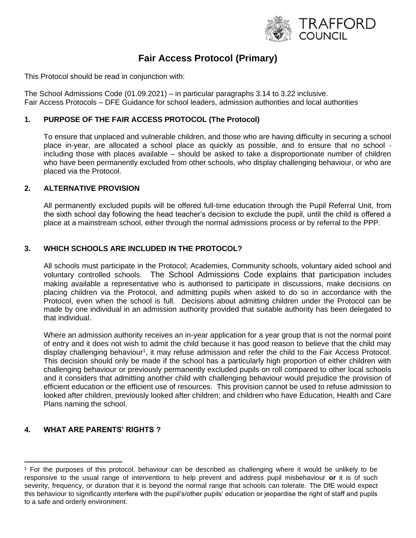

# **Fair Access Protocol (Primary)**

This Protocol should be read in conjunction with:

The School Admissions Code (01.09.2021) – in particular paragraphs 3.14 to 3.22 inclusive. Fair Access Protocols – DFE Guidance for school leaders, admission authorities and local authorities

### **1. PURPOSE OF THE FAIR ACCESS PROTOCOL (The Protocol)**

To ensure that unplaced and vulnerable children, and those who are having difficulty in securing a school place in-year, are allocated a school place as quickly as possible, and to ensure that no school including those with places available – should be asked to take a disproportionate number of children who have been permanently excluded from other schools, who display challenging behaviour, or who are placed via the Protocol.

#### **2. ALTERNATIVE PROVISION**

All permanently excluded pupils will be offered full-time education through the Pupil Referral Unit, from the sixth school day following the head teacher's decision to exclude the pupil, until the child is offered a place at a mainstream school, either through the normal admissions process or by referral to the PPP.

#### **3. WHICH SCHOOLS ARE INCLUDED IN THE PROTOCOL?**

All schools must participate in the Protocol; Academies, Community schools, voluntary aided school and voluntary controlled schools. The School Admissions Code explains that participation includes making available a representative who is authorised to participate in discussions, make decisions on placing children via the Protocol, and admitting pupils when asked to do so in accordance with the Protocol, even when the school is full. Decisions about admitting children under the Protocol can be made by one individual in an admission authority provided that suitable authority has been delegated to that individual.

Where an admission authority receives an in-year application for a year group that is not the normal point of entry and it does not wish to admit the child because it has good reason to believe that the child may display challenging behaviour<sup>1</sup>, it may refuse admission and refer the child to the Fair Access Protocol. This decision should only be made if the school has a particularly high proportion of either children with challenging behaviour or previously permanently excluded pupils on roll compared to other local schools and it considers that admitting another child with challenging behaviour would prejudice the provision of efficient education or the efficient use of resources. This provision cannot be used to refuse admission to looked after children, previously looked after children; and children who have Education, Health and Care Plans naming the school.

## **4. WHAT ARE PARENTS' RIGHTS ?**

<sup>1</sup> For the purposes of this protocol, behaviour can be described as challenging where it would be unlikely to be responsive to the usual range of interventions to help prevent and address pupil misbehaviour **or** it is of such severity, frequency, or duration that it is beyond the normal range that schools can tolerate. The DfE would expect this behaviour to significantly interfere with the pupil's/other pupils' education or jeopardise the right of staff and pupils to a safe and orderly environment.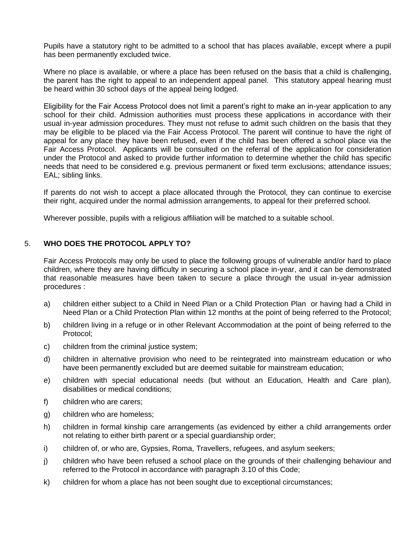Pupils have a statutory right to be admitted to a school that has places available, except where a pupil has been permanently excluded twice.

Where no place is available, or where a place has been refused on the basis that a child is challenging, the parent has the right to appeal to an independent appeal panel. This statutory appeal hearing must be heard within 30 school days of the appeal being lodged.

Eligibility for the Fair Access Protocol does not limit a parent's right to make an in-year application to any school for their child. Admission authorities must process these applications in accordance with their usual in-year admission procedures. They must not refuse to admit such children on the basis that they may be eligible to be placed via the Fair Access Protocol. The parent will continue to have the right of appeal for any place they have been refused, even if the child has been offered a school place via the Fair Access Protocol. Applicants will be consulted on the referral of the application for consideration under the Protocol and asked to provide further information to determine whether the child has specific needs that need to be considered e.g. previous permanent or fixed term exclusions; attendance issues; EAL; sibling links.

If parents do not wish to accept a place allocated through the Protocol, they can continue to exercise their right, acquired under the normal admission arrangements, to appeal for their preferred school.

Wherever possible, pupils with a religious affiliation will be matched to a suitable school.

#### 5. **WHO DOES THE PROTOCOL APPLY TO?**

Fair Access Protocols may only be used to place the following groups of vulnerable and/or hard to place children, where they are having difficulty in securing a school place in-year, and it can be demonstrated that reasonable measures have been taken to secure a place through the usual in-year admission procedures :

- a) children either subject to a Child in Need Plan or a Child Protection Plan or having had a Child in Need Plan or a Child Protection Plan within 12 months at the point of being referred to the Protocol;
- b) children living in a refuge or in other Relevant Accommodation at the point of being referred to the Protocol;
- c) children from the criminal justice system;
- d) children in alternative provision who need to be reintegrated into mainstream education or who have been permanently excluded but are deemed suitable for mainstream education;
- e) children with special educational needs (but without an Education, Health and Care plan), disabilities or medical conditions;
- f) children who are carers;
- g) children who are homeless;
- h) children in formal kinship care arrangements (as evidenced by either a child arrangements order not relating to either birth parent or a special guardianship order;
- i) children of, or who are, Gypsies, Roma, Travellers, refugees, and asylum seekers;
- j) children who have been refused a school place on the grounds of their challenging behaviour and referred to the Protocol in accordance with paragraph 3.10 of this Code;
- k) children for whom a place has not been sought due to exceptional circumstances;